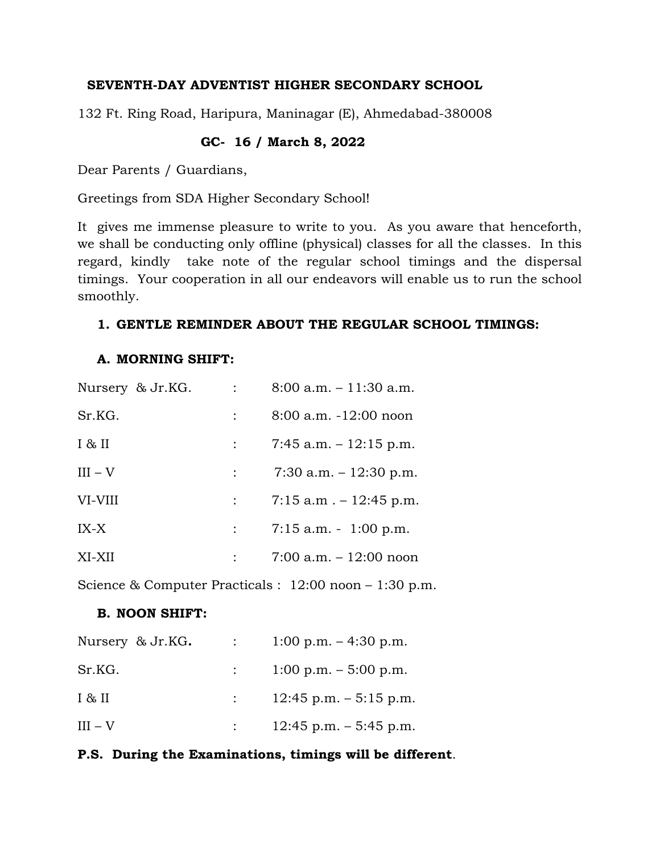### **SEVENTH-DAY ADVENTIST HIGHER SECONDARY SCHOOL**

132 Ft. Ring Road, Haripura, Maninagar (E), Ahmedabad-380008

## **GC- 16 / March 8, 2022**

Dear Parents / Guardians,

Greetings from SDA Higher Secondary School!

It gives me immense pleasure to write to you. As you aware that henceforth, we shall be conducting only offline (physical) classes for all the classes. In this regard, kindly take note of the regular school timings and the dispersal timings. Your cooperation in all our endeavors will enable us to run the school smoothly.

#### **1. GENTLE REMINDER ABOUT THE REGULAR SCHOOL TIMINGS:**

#### **A. MORNING SHIFT:**

| Nursery & Jr.KG. | $8:00$ a.m. $-11:30$ a.m.                   |
|------------------|---------------------------------------------|
| Sr.KG.           | $8:00$ a.m. $-12:00$ noon                   |
| I & H            | 7:45 a.m. $-12:15$ p.m.                     |
| $III - V$        | 7:30 a.m. $-12:30$ p.m.                     |
| VI-VIII          | $\therefore$ 7:15 a.m $\ldots$ - 12:45 p.m. |
| $IX-X$           | $7:15$ a.m. $-1:00$ p.m.                    |
| XI-XII           | $7:00$ a.m. $-12:00$ noon                   |

Science & Computer Practicals : 12:00 noon – 1:30 p.m.

#### **B. NOON SHIFT:**

| Nursery & Jr.KG. | $\mathcal{L}^{\text{max}}$ | 1:00 p.m. $-4:30$ p.m.               |
|------------------|----------------------------|--------------------------------------|
| Sr.KG.           |                            | $\therefore$ 1:00 p.m. – 5:00 p.m.   |
| I & H            |                            | $\therefore$ 12:45 p.m. $-5:15$ p.m. |
| $III - V$        |                            | $12:45$ p.m. $-5:45$ p.m.            |

## **P.S. During the Examinations, timings will be different**.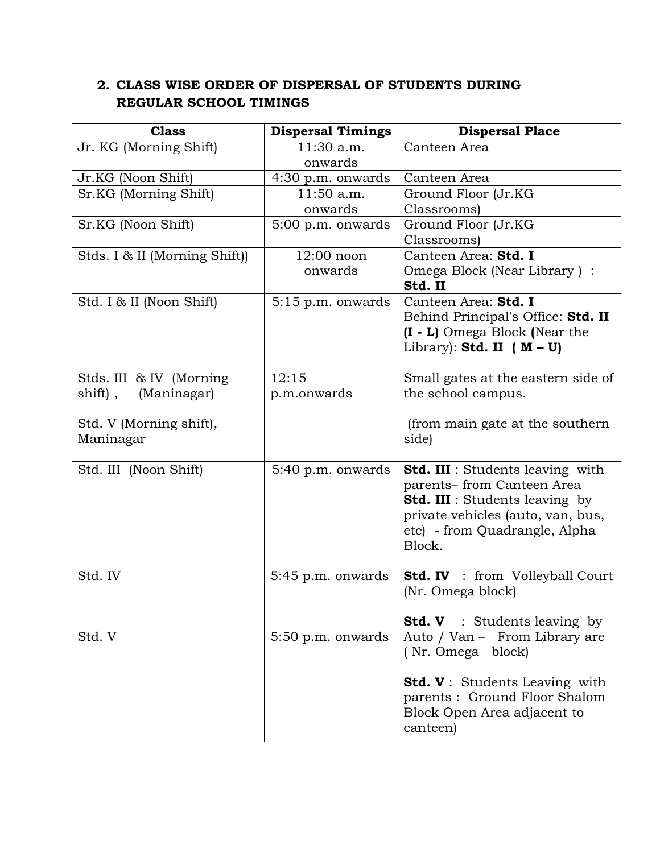# **2. CLASS WISE ORDER OF DISPERSAL OF STUDENTS DURING REGULAR SCHOOL TIMINGS**

| <b>Class</b>                  | <b>Dispersal Timings</b> | <b>Dispersal Place</b>                  |
|-------------------------------|--------------------------|-----------------------------------------|
| Jr. KG (Morning Shift)        | 11:30 a.m.               | Canteen Area                            |
|                               | onwards                  |                                         |
| Jr.KG (Noon Shift)            | 4:30 p.m. onwards        | Canteen Area                            |
| Sr.KG (Morning Shift)         | $11:50$ a.m.             | Ground Floor (Jr.KG                     |
|                               | onwards                  | Classrooms)                             |
| Sr.KG (Noon Shift)            | $5:00$ p.m. onwards      | Ground Floor (Jr.KG                     |
|                               |                          | Classrooms)                             |
| Stds. I & II (Morning Shift)) | $12:00$ noon             | Canteen Area: Std. I                    |
|                               | onwards                  | Omega Block (Near Library) :<br>Std. II |
| Std. I & II (Noon Shift)      | $5:15$ p.m. onwards      | Canteen Area: Std. I                    |
|                               |                          | Behind Principal's Office: Std. II      |
|                               |                          | (I - L) Omega Block (Near the           |
|                               |                          | Library): Std. II ( $M - U$ )           |
| Stds. III & IV (Morning       | 12:15                    | Small gates at the eastern side of      |
| (Maninagar)<br>shift),        | p.m.onwards              | the school campus.                      |
|                               |                          |                                         |
| Std. V (Morning shift),       |                          | (from main gate at the southern)        |
| Maninagar                     |                          | side)                                   |
|                               |                          |                                         |
| Std. III (Noon Shift)         | 5:40 p.m. onwards        | <b>Std. III</b> : Students leaving with |
|                               |                          | parents-from Canteen Area               |
|                               |                          | <b>Std. III</b> : Students leaving by   |
|                               |                          | private vehicles (auto, van, bus,       |
|                               |                          | etc) - from Quadrangle, Alpha           |
|                               |                          | Block.                                  |
| Std. IV                       | $5:45$ p.m. onwards      | <b>Std. IV</b> : from Volleyball Court  |
|                               |                          | (Nr. Omega block)                       |
|                               |                          | <b>Std. V</b> : Students leaving by     |
| Std. V                        | $5:50$ p.m. onwards      | Auto / Van - From Library are           |
|                               |                          | (Nr. Omega block)                       |
|                               |                          |                                         |
|                               |                          | <b>Std. V</b> : Students Leaving with   |
|                               |                          | parents : Ground Floor Shalom           |
|                               |                          | Block Open Area adjacent to<br>canteen) |
|                               |                          |                                         |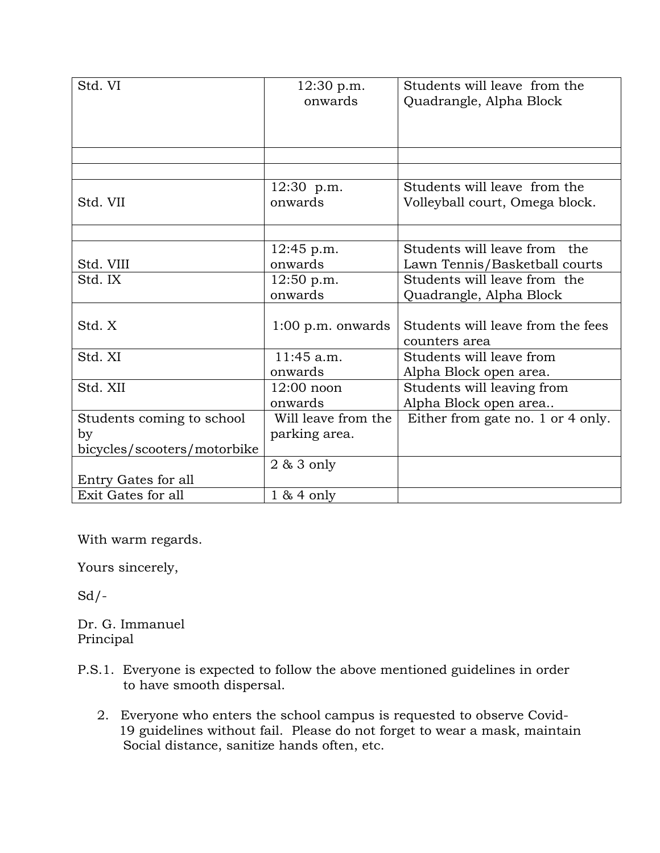| Std. VI<br>Students will leave from the<br>12:30 p.m.                                 |  |
|---------------------------------------------------------------------------------------|--|
| onwards<br>Quadrangle, Alpha Block                                                    |  |
|                                                                                       |  |
|                                                                                       |  |
|                                                                                       |  |
|                                                                                       |  |
|                                                                                       |  |
| Students will leave from the<br>12:30 p.m.                                            |  |
| Std. VII<br>onwards<br>Volleyball court, Omega block.                                 |  |
|                                                                                       |  |
|                                                                                       |  |
| Students will leave from the<br>$12:45$ p.m.                                          |  |
| Std. VIII<br>onwards<br>Lawn Tennis/Basketball courts                                 |  |
| Students will leave from the<br>Std. IX<br>12:50 p.m.                                 |  |
| onwards<br>Quadrangle, Alpha Block                                                    |  |
|                                                                                       |  |
| Std. X<br>Students will leave from the fees<br>$1:00$ p.m. onwards                    |  |
| counters area                                                                         |  |
| Std. XI<br>11:45 a.m.<br>Students will leave from                                     |  |
|                                                                                       |  |
| Alpha Block open area.<br>onwards                                                     |  |
| Std. XII<br>$12:00$ noon<br>Students will leaving from                                |  |
| onwards<br>Alpha Block open area                                                      |  |
| Students coming to school<br>Will leave from the<br>Either from gate no. 1 or 4 only. |  |
| parking area.<br>by                                                                   |  |
| bicycles/scooters/motorbike                                                           |  |
| $2 & 3$ only                                                                          |  |
| Entry Gates for all                                                                   |  |
| Exit Gates for all<br>$1 & 4$ only                                                    |  |

With warm regards.

Yours sincerely,

 $Sd$  /-

Dr. G. Immanuel Principal

- P.S.1. Everyone is expected to follow the above mentioned guidelines in order to have smooth dispersal.
	- 2. Everyone who enters the school campus is requested to observe Covid- 19 guidelines without fail. Please do not forget to wear a mask, maintain Social distance, sanitize hands often, etc.